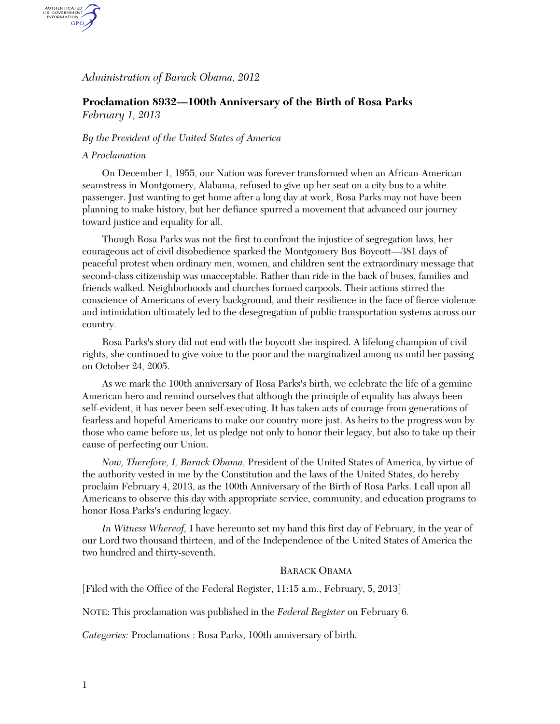## *Administration of Barack Obama, 2012*

# **Proclamation 8932—100th Anniversary of the Birth of Rosa Parks**  *February 1, 2013*

### *By the President of the United States of America*

#### *A Proclamation*

AUTHENTICATED<br>U.S. GOVERNMENT<br>INFORMATION GPO.

> On December 1, 1955, our Nation was forever transformed when an African-American seamstress in Montgomery, Alabama, refused to give up her seat on a city bus to a white passenger. Just wanting to get home after a long day at work, Rosa Parks may not have been planning to make history, but her defiance spurred a movement that advanced our journey toward justice and equality for all.

Though Rosa Parks was not the first to confront the injustice of segregation laws, her courageous act of civil disobedience sparked the Montgomery Bus Boycott—381 days of peaceful protest when ordinary men, women, and children sent the extraordinary message that second-class citizenship was unacceptable. Rather than ride in the back of buses, families and friends walked. Neighborhoods and churches formed carpools. Their actions stirred the conscience of Americans of every background, and their resilience in the face of fierce violence and intimidation ultimately led to the desegregation of public transportation systems across our country.

Rosa Parks's story did not end with the boycott she inspired. A lifelong champion of civil rights, she continued to give voice to the poor and the marginalized among us until her passing on October 24, 2005.

As we mark the 100th anniversary of Rosa Parks's birth, we celebrate the life of a genuine American hero and remind ourselves that although the principle of equality has always been self-evident, it has never been self-executing. It has taken acts of courage from generations of fearless and hopeful Americans to make our country more just. As heirs to the progress won by those who came before us, let us pledge not only to honor their legacy, but also to take up their cause of perfecting our Union.

*Now, Therefore, I, Barack Obama,* President of the United States of America, by virtue of the authority vested in me by the Constitution and the laws of the United States, do hereby proclaim February 4, 2013, as the 100th Anniversary of the Birth of Rosa Parks. I call upon all Americans to observe this day with appropriate service, community, and education programs to honor Rosa Parks's enduring legacy.

*In Witness Whereof,* I have hereunto set my hand this first day of February, in the year of our Lord two thousand thirteen, and of the Independence of the United States of America the two hundred and thirty-seventh.

#### BARACK OBAMA

[Filed with the Office of the Federal Register, 11:15 a.m., February, 5, 2013]

NOTE: This proclamation was published in the *Federal Register* on February 6.

*Categories:* Proclamations : Rosa Parks, 100th anniversary of birth*.*